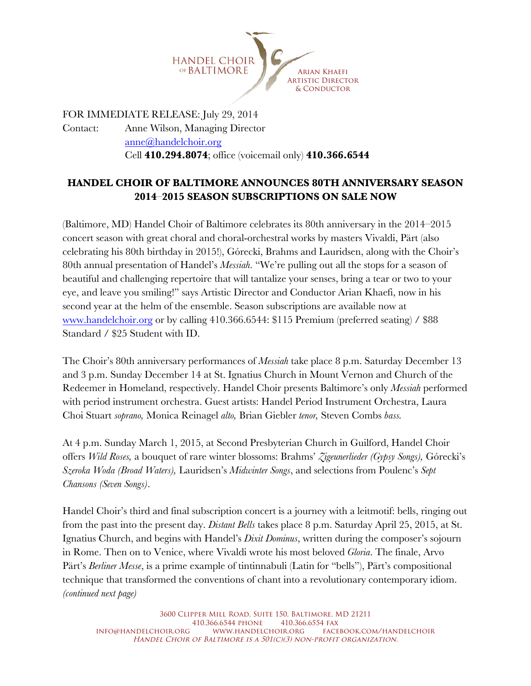

FOR IMMEDIATE RELEASE: July 29, 2014 Contact: Anne Wilson, Managing Director anne@handelchoir.org Cell **410.294.8074**; office (voicemail only) **410.366.6544**

## **HANDEL CHOIR OF BALTIMORE ANNOUNCES 80TH ANNIVERSARY SEASON 2014**–**2015 SEASON SUBSCRIPTIONS ON SALE NOW**

(Baltimore, MD) Handel Choir of Baltimore celebrates its 80th anniversary in the 2014–2015 concert season with great choral and choral-orchestral works by masters Vivaldi, Pärt (also celebrating his 80th birthday in 2015!), Górecki, Brahms and Lauridsen, along with the Choir's 80th annual presentation of Handel's *Messiah*. "We're pulling out all the stops for a season of beautiful and challenging repertoire that will tantalize your senses, bring a tear or two to your eye, and leave you smiling!" says Artistic Director and Conductor Arian Khaefi, now in his second year at the helm of the ensemble. Season subscriptions are available now at www.handelchoir.org or by calling 410.366.6544: \$115 Premium (preferred seating) / \$88 Standard / \$25 Student with ID.

The Choir's 80th anniversary performances of *Messiah* take place 8 p.m. Saturday December 13 and 3 p.m. Sunday December 14 at St. Ignatius Church in Mount Vernon and Church of the Redeemer in Homeland, respectively. Handel Choir presents Baltimore's only *Messiah* performed with period instrument orchestra. Guest artists: Handel Period Instrument Orchestra, Laura Choi Stuart *soprano,* Monica Reinagel *alto,* Brian Giebler *tenor,* Steven Combs *bass.*

At 4 p.m. Sunday March 1, 2015, at Second Presbyterian Church in Guilford, Handel Choir offers *Wild Roses,* a bouquet of rare winter blossoms: Brahms' *Zigeunerlieder (Gypsy Songs),* Górecki's *Szeroka Woda (Broad Waters),* Lauridsen's *Midwinter Songs*, and selections from Poulenc's *Sept Chansons (Seven Songs)*.

Handel Choir's third and final subscription concert is a journey with a leitmotif: bells, ringing out from the past into the present day. *Distant Bells* takes place 8 p.m. Saturday April 25, 2015, at St. Ignatius Church, and begins with Handel's *Dixit Dominus*, written during the composer's sojourn in Rome. Then on to Venice, where Vivaldi wrote his most beloved *Gloria*. The finale, Arvo Pärt's *Berliner Messe*, is a prime example of tintinnabuli (Latin for "bells"), Pärt's compositional technique that transformed the conventions of chant into a revolutionary contemporary idiom. *(continued next page)*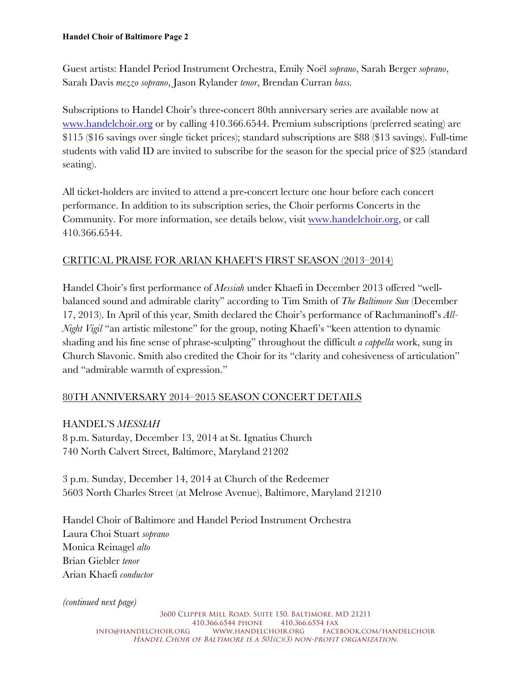Guest artists: Handel Period Instrument Orchestra, Emily Noël *soprano*, Sarah Berger *soprano*, Sarah Davis *mezzo soprano*, Jason Rylander *tenor*, Brendan Curran *bass.*

Subscriptions to Handel Choir's three-concert 80th anniversary series are available now at www.handelchoir.org or by calling 410.366.6544. Premium subscriptions (preferred seating) are \$115 (\$16 savings over single ticket prices); standard subscriptions are \$88 (\$13 savings). Full-time students with valid ID are invited to subscribe for the season for the special price of \$25 (standard seating).

All ticket-holders are invited to attend a pre-concert lecture one hour before each concert performance. In addition to its subscription series, the Choir performs Concerts in the Community. For more information, see details below, visit www.handelchoir.org, or call 410.366.6544.

### CRITICAL PRAISE FOR ARIAN KHAEFI'S FIRST SEASON (2013–2014)

Handel Choir's first performance of *Messiah* under Khaefi in December 2013 offered "wellbalanced sound and admirable clarity" according to Tim Smith of *The Baltimore Sun* (December 17, 2013). In April of this year, Smith declared the Choir's performance of Rachmaninoff's *All-Night Vigil* "an artistic milestone" for the group, noting Khaefi's "keen attention to dynamic shading and his fine sense of phrase-sculpting" throughout the difficult *a cappella* work, sung in Church Slavonic. Smith also credited the Choir for its "clarity and cohesiveness of articulation" and "admirable warmth of expression."

### 80TH ANNIVERSARY 2014–2015 SEASON CONCERT DETAILS

#### HANDEL'S *MESSIAH*

8 p.m. Saturday, December 13, 2014 at St. Ignatius Church 740 North Calvert Street, Baltimore, Maryland 21202

3 p.m. Sunday, December 14, 2014 at Church of the Redeemer 5603 North Charles Street (at Melrose Avenue), Baltimore, Maryland 21210

Handel Choir of Baltimore and Handel Period Instrument Orchestra Laura Choi Stuart *soprano* Monica Reinagel *alto* Brian Giebler *tenor* Arian Khaefi *conductor*

*(continued next page)*

3600 Clipper Mill Road, Suite 150, Baltimore, MD 21211 410.366.6544 phone 410.366.6554 fax<br>Info@handelchoir.org www.handelchoir.org face www.handelchoir.org Facebook.com/handelchoir HANDEL CHOIR OF BALTIMORE IS A 501(C)(3) NON-PROFIT ORGANIZATION.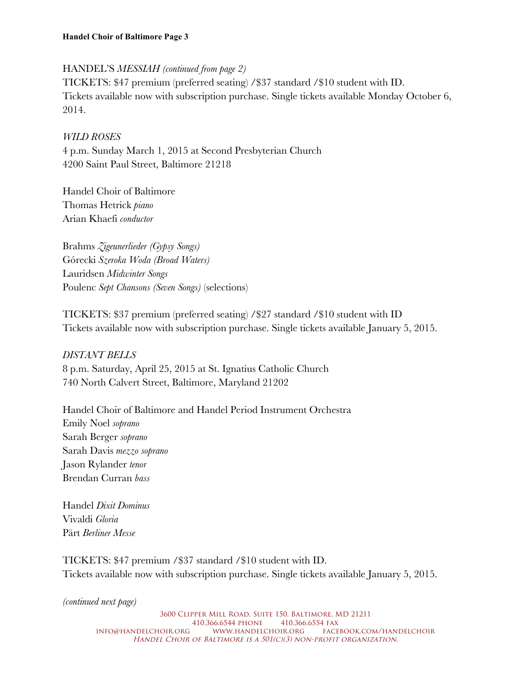## HANDEL'S *MESSIAH (continued from page 2)*

TICKETS: \$47 premium (preferred seating) /\$37 standard /\$10 student with ID. Tickets available now with subscription purchase. Single tickets available Monday October 6, 2014.

# *WILD ROSES*

4 p.m. Sunday March 1, 2015 at Second Presbyterian Church 4200 Saint Paul Street, Baltimore 21218

Handel Choir of Baltimore Thomas Hetrick *piano* Arian Khaefi *conductor*

Brahms *Zigeunerlieder (Gypsy Songs)* Górecki *Szeroka Woda (Broad Waters)* Lauridsen *Midwinter Songs* Poulenc *Sept Chansons (Seven Songs)* (selections)

TICKETS: \$37 premium (preferred seating) /\$27 standard /\$10 student with ID Tickets available now with subscription purchase. Single tickets available January 5, 2015.

# *DISTANT BELLS*

8 p.m. Saturday, April 25, 2015 at St. Ignatius Catholic Church 740 North Calvert Street, Baltimore, Maryland 21202

Handel Choir of Baltimore and Handel Period Instrument Orchestra Emily Noel *soprano* Sarah Berger *soprano* Sarah Davis *mezzo soprano* Jason Rylander *tenor* Brendan Curran *bass*

Handel *Dixit Dominus* Vivaldi *Gloria* Pärt *Berliner Messe*

TICKETS: \$47 premium /\$37 standard /\$10 student with ID. Tickets available now with subscription purchase. Single tickets available January 5, 2015.

*(continued next page)*

3600 Clipper Mill Road, Suite 150, Baltimore, MD 21211 410.366.6544 PHONE 410.366.6554 FAX<br>INFO@HANDELCHOIR.ORG WWW.HANDELCHOIR.ORG FACEE www.handelchoir.org Facebook.com/handelchoir HANDEL CHOIR OF BALTIMORE IS A 501(C)(3) NON-PROFIT ORGANIZATION.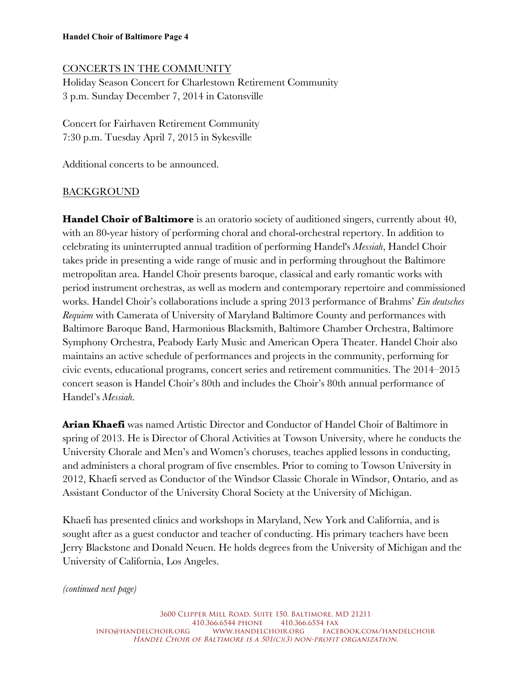## CONCERTS IN THE COMMUNITY

Holiday Season Concert for Charlestown Retirement Community 3 p.m. Sunday December 7, 2014 in Catonsville

Concert for Fairhaven Retirement Community 7:30 p.m. Tuesday April 7, 2015 in Sykesville

Additional concerts to be announced.

## BACKGROUND

**Handel Choir of Baltimore** is an oratorio society of auditioned singers, currently about 40, with an 80-year history of performing choral and choral-orchestral repertory. In addition to celebrating its uninterrupted annual tradition of performing Handel's *Messiah*, Handel Choir takes pride in presenting a wide range of music and in performing throughout the Baltimore metropolitan area. Handel Choir presents baroque, classical and early romantic works with period instrument orchestras, as well as modern and contemporary repertoire and commissioned works. Handel Choir's collaborations include a spring 2013 performance of Brahms' *Ein deutsches Requiem* with Camerata of University of Maryland Baltimore County and performances with Baltimore Baroque Band, Harmonious Blacksmith, Baltimore Chamber Orchestra, Baltimore Symphony Orchestra, Peabody Early Music and American Opera Theater. Handel Choir also maintains an active schedule of performances and projects in the community, performing for civic events, educational programs, concert series and retirement communities. The 2014–2015 concert season is Handel Choir's 80th and includes the Choir's 80th annual performance of Handel's *Messiah*.

**Arian Khaefi** was named Artistic Director and Conductor of Handel Choir of Baltimore in spring of 2013. He is Director of Choral Activities at Towson University, where he conducts the University Chorale and Men's and Women's choruses, teaches applied lessons in conducting, and administers a choral program of five ensembles. Prior to coming to Towson University in 2012, Khaefi served as Conductor of the Windsor Classic Chorale in Windsor, Ontario, and as Assistant Conductor of the University Choral Society at the University of Michigan.

Khaefi has presented clinics and workshops in Maryland, New York and California, and is sought after as a guest conductor and teacher of conducting. His primary teachers have been Jerry Blackstone and Donald Neuen. He holds degrees from the University of Michigan and the University of California, Los Angeles.

*(continued next page)*